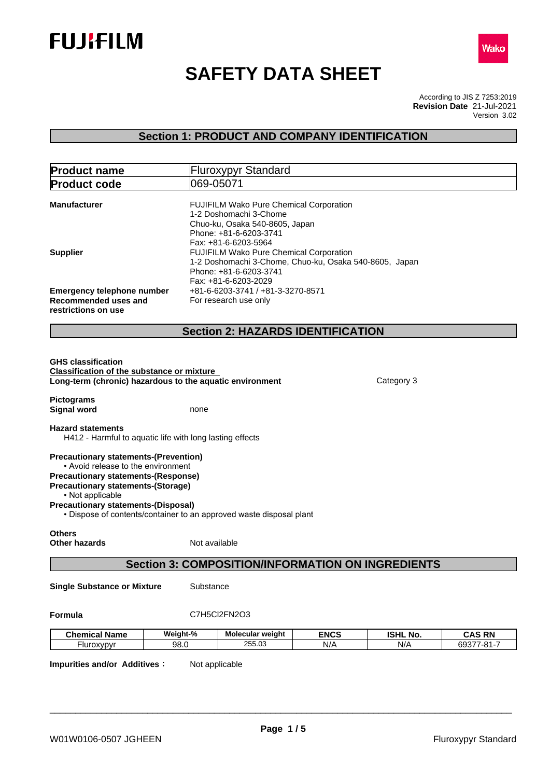



# **SAFETY DATA SHEET**

According to JIS Z 7253:2019 Version 3.02 **Revision Date** 21-Jul-2021

## **Section 1: PRODUCT AND COMPANY IDENTIFICATION**

|                                                                                                                                                                                                   |                                                                  | <b>Fluroxypyr Standard</b>                                                                                                                            |                    |                        |                             |
|---------------------------------------------------------------------------------------------------------------------------------------------------------------------------------------------------|------------------------------------------------------------------|-------------------------------------------------------------------------------------------------------------------------------------------------------|--------------------|------------------------|-----------------------------|
| <b>Product code</b>                                                                                                                                                                               | 069-05071                                                        |                                                                                                                                                       |                    |                        |                             |
| <b>Manufacturer</b>                                                                                                                                                                               |                                                                  | FUJIFILM Wako Pure Chemical Corporation<br>1-2 Doshomachi 3-Chome<br>Chuo-ku, Osaka 540-8605, Japan<br>Phone: +81-6-6203-3741<br>Fax: +81-6-6203-5964 |                    |                        |                             |
| <b>Supplier</b>                                                                                                                                                                                   |                                                                  | FUJIFILM Wako Pure Chemical Corporation<br>1-2 Doshomachi 3-Chome, Chuo-ku, Osaka 540-8605, Japan<br>Phone: +81-6-6203-3741<br>Fax: +81-6-6203-2029   |                    |                        |                             |
| <b>Emergency telephone number</b><br>Recommended uses and<br>restrictions on use                                                                                                                  |                                                                  | +81-6-6203-3741 / +81-3-3270-8571<br>For research use only                                                                                            |                    |                        |                             |
|                                                                                                                                                                                                   |                                                                  | <b>Section 2: HAZARDS IDENTIFICATION</b>                                                                                                              |                    |                        |                             |
| <b>Classification of the substance or mixture</b><br>Long-term (chronic) hazardous to the aquatic environment<br><b>Pictograms</b>                                                                |                                                                  |                                                                                                                                                       |                    | Category 3             |                             |
| <b>Signal word</b><br><b>Hazard statements</b>                                                                                                                                                    | none<br>H412 - Harmful to aquatic life with long lasting effects |                                                                                                                                                       |                    |                        |                             |
|                                                                                                                                                                                                   |                                                                  |                                                                                                                                                       |                    |                        |                             |
| <b>Precautionary statements-(Prevention)</b><br>• Avoid release to the environment<br><b>Precautionary statements-(Response)</b><br><b>Precautionary statements-(Storage)</b><br>• Not applicable |                                                                  |                                                                                                                                                       |                    |                        |                             |
| <b>Precautionary statements-(Disposal)</b><br>• Dispose of contents/container to an approved waste disposal plant                                                                                 |                                                                  |                                                                                                                                                       |                    |                        |                             |
| <b>Others</b><br>Other hazards                                                                                                                                                                    | Not available                                                    |                                                                                                                                                       |                    |                        |                             |
|                                                                                                                                                                                                   |                                                                  | <b>Section 3: COMPOSITION/INFORMATION ON INGREDIENTS</b>                                                                                              |                    |                        |                             |
| <b>Single Substance or Mixture</b>                                                                                                                                                                | Substance                                                        |                                                                                                                                                       |                    |                        |                             |
| Formula                                                                                                                                                                                           |                                                                  | C7H5Cl2FN2O3                                                                                                                                          |                    |                        |                             |
| <b>Chemical Name</b>                                                                                                                                                                              | Weight-%                                                         | Molecular weight                                                                                                                                      | <b>ENCS</b><br>N/A | <b>ISHL No.</b><br>N/A | <b>CAS RN</b><br>69377-81-7 |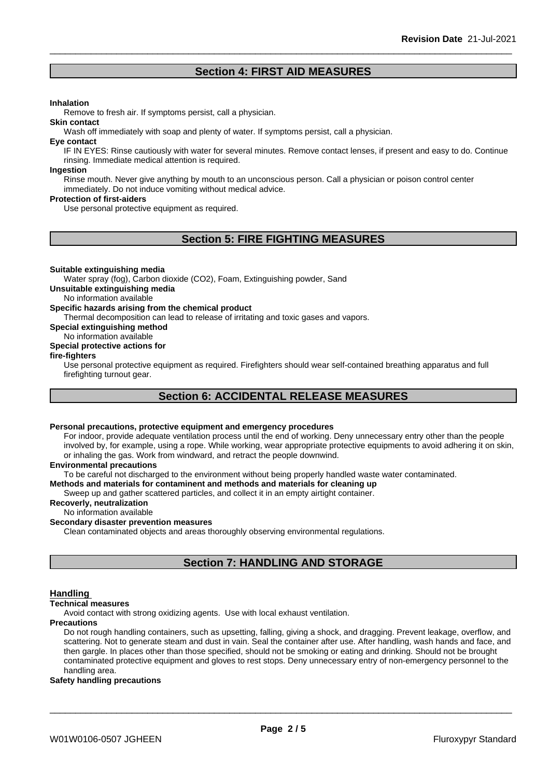## **Section 4: FIRST AID MEASURES**

#### **Inhalation**

Remove to fresh air. If symptoms persist, call a physician.

Wash off immediately with soap and plenty of water. If symptoms persist, call a physician.

#### **Eye contact**

**Skin contact**

IF IN EYES: Rinse cautiously with water for several minutes. Remove contact lenses, if present and easy to do. Continue rinsing. Immediate medical attention is required.

#### **Ingestion**

Rinse mouth. Never give anything by mouth to an unconscious person. Call a physician or poison control center immediately. Do not induce vomiting without medical advice.

#### **Protection of first-aiders**

Use personal protective equipment as required.

## **Section 5: FIRE FIGHTING MEASURES**

#### **Suitable extinguishing media**

Water spray (fog), Carbon dioxide (CO2), Foam, Extinguishing powder, Sand

**Unsuitable extinguishing media**

No information available

#### **Specific hazards arising from the chemical product**

Thermal decomposition can lead to release of irritating and toxic gases and vapors.

**Special extinguishing method**

#### No information available

### **Special protective actions for**

#### **fire-fighters**

Use personal protective equipment as required.Firefighters should wear self-contained breathing apparatus and full firefighting turnout gear.

## **Section 6: ACCIDENTAL RELEASE MEASURES**

#### **Personal precautions, protective equipment and emergency procedures**

For indoor, provide adequate ventilation process until the end of working. Deny unnecessary entry other than the people involved by, for example, using a rope. While working, wear appropriate protective equipments to avoid adhering it on skin, or inhaling the gas. Work from windward, and retract the people downwind.

#### **Environmental precautions**

To be careful not discharged to the environment without being properly handled waste water contaminated.

#### **Methods and materials for contaminent and methods and materials for cleaning up**

Sweep up and gather scattered particles, and collect it in an empty airtight container.

#### **Recoverly, neutralization**

#### No information available

#### **Secondary disaster prevention measures**

Clean contaminated objects and areas thoroughly observing environmental regulations.

## **Section 7: HANDLING AND STORAGE**

#### **Handling**

#### **Technical measures**

Avoid contact with strong oxidizing agents. Use with local exhaust ventilation.

#### **Precautions**

Do not rough handling containers, such as upsetting, falling, giving a shock, and dragging. Prevent leakage, overflow, and scattering. Not to generate steam and dust in vain. Seal the container after use. After handling, wash hands and face, and then gargle. In places other than those specified, should not be smoking or eating and drinking. Should not be brought contaminated protective equipment and gloves to rest stops. Deny unnecessary entry of non-emergency personnel to the handling area.

#### **Safety handling precautions**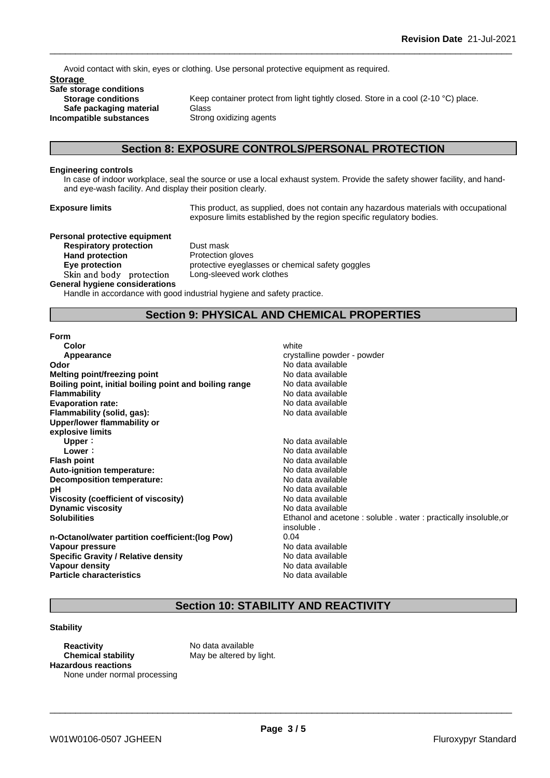Avoid contact with skin, eyes or clothing. Use personal protective equipment as required.

**Storage Safe storage conditions Safe packaging material** Glass<br>**ompatible substances** Strong oxidizing agents **Incompatible substances** 

Keep container protect from light tightly closed. Store in a cool (2-10 °C) place.

## **Section 8: EXPOSURE CONTROLS/PERSONAL PROTECTION**

#### **Engineering controls**

In case of indoor workplace, seal the source or use a local exhaust system. Provide the safety shower facility, and handand eye-wash facility. And display their position clearly.

**Exposure limits** This product, as supplied, does not contain any hazardous materials with occupational exposure limits established by the region specific regulatory bodies.

## **Personal protective equipment**

**Respiratory protection** Dust mask **Hand protection** Protection gloves Skin and body protection Long-sleeved work clothes **General hygiene considerations**

**Eye protection Eye protective** eyeglasses or chemical safety goggles

Handle in accordance with good industrial hygiene and safety practice.

## **Section 9: PHYSICAL AND CHEMICAL PROPERTIES**

#### **Form**

| <b>Color</b>                                           | white                                                           |
|--------------------------------------------------------|-----------------------------------------------------------------|
| Appearance                                             | crystalline powder - powder                                     |
| Odor                                                   | No data available                                               |
| Melting point/freezing point                           | No data available                                               |
| Boiling point, initial boiling point and boiling range | No data available                                               |
| <b>Flammability</b>                                    | No data available                                               |
| <b>Evaporation rate:</b>                               | No data available                                               |
| Flammability (solid, gas):                             | No data available                                               |
| Upper/lower flammability or                            |                                                                 |
| explosive limits                                       |                                                                 |
| Upper:                                                 | No data available                                               |
| Lower:                                                 | No data available                                               |
| <b>Flash point</b>                                     | No data available                                               |
| Auto-ignition temperature:                             | No data available                                               |
| Decomposition temperature:                             | No data available                                               |
| рH                                                     | No data available                                               |
| Viscosity (coefficient of viscosity)                   | No data available                                               |
| <b>Dynamic viscosity</b>                               | No data available                                               |
| <b>Solubilities</b>                                    | Ethanol and acetone: soluble . water: practically insoluble, or |
|                                                        | insoluble.                                                      |
| n-Octanol/water partition coefficient: (log Pow)       | 0.04                                                            |
| Vapour pressure                                        | No data available                                               |
| <b>Specific Gravity / Relative density</b>             | No data available                                               |
| Vapour density                                         | No data available                                               |
| <b>Particle characteristics</b>                        | No data available                                               |
|                                                        |                                                                 |

## **Section 10: STABILITY AND REACTIVITY**

#### **Stability**

**Reactivity** No data available **Chemical stability** May be altered by light. **Hazardous reactions** None under normal processing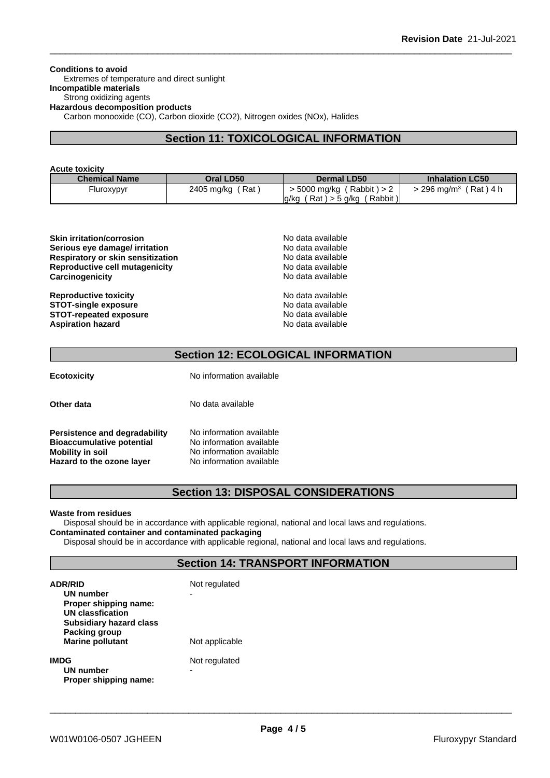**Conditions to avoid** Extremes of temperature and direct sunlight **Incompatible materials** Strong oxidizing agents **Hazardous decomposition products** Carbon monooxide (CO), Carbon dioxide (CO2), Nitrogen oxides (NOx), Halides

## **Section 11: TOXICOLOGICAL INFORMATION**

| <b>Acute toxicity</b> |  |  |  |
|-----------------------|--|--|--|
| ممسملة اممامسم        |  |  |  |

| <b>Chemical Name</b> | Oral LD50               | <b>Dermal LD50</b>               | <b>Inhalation LC50</b>              |
|----------------------|-------------------------|----------------------------------|-------------------------------------|
| -luroxypyr           | 2405 mg/kg (<br>′ Rat ` | $>$ 5000 mg/kg (Rabbit) $>$ 2    | > 296 ma/m <sup>3</sup><br>(Rat)4 h |
|                      |                         | (Rat) > 5 g/kg (Rabbit)<br>lg/kg |                                     |

| <b>Skin irritation/corrosion</b>  | No data available |
|-----------------------------------|-------------------|
| Serious eye damage/ irritation    | No data available |
| Respiratory or skin sensitization | No data available |
| Reproductive cell mutagenicity    | No data available |
| Carcinogenicity                   | No data available |
| Damasahiathia taulaku             | Na dota ovojlabla |

**Reproductive toxicity STOT-single exposure STOT-repeated exposure Aspiration hazard** 

|  | i vu uata avallable |  |
|--|---------------------|--|
|  | No data available   |  |
|  | No data available   |  |
|  | No data available   |  |
|  | No data available   |  |
|  |                     |  |
|  | No data available   |  |
|  | No data available   |  |
|  | No data available   |  |
|  | No data available   |  |

## **Section 12: ECOLOGICAL INFORMATION**

**Ecotoxicity** No information available

**No information available No information available Mobility in soil** No information available **Hazard to the ozone layer** No information available

**Other data** No data available

| <b>Persistence and degradability</b> |  |
|--------------------------------------|--|
| <b>Bioaccumulative potential</b>     |  |
| <b>Mobility in soil</b>              |  |
| Hazard to the ozone layer            |  |

## **Section 13: DISPOSAL CONSIDERATIONS**

#### **Waste from residues**

Disposal should be in accordance with applicable regional, national and local laws and regulations. **Contaminated container and contaminated packaging**

Disposal should be in accordance with applicable regional, national and local laws and regulations.

## **Section 14: TRANSPORT INFORMATION**

| <b>ADR/RID</b><br>UN number<br>Proper shipping name:<br><b>UN classfication</b><br><b>Subsidiary hazard class</b> | Not regulated      |
|-------------------------------------------------------------------------------------------------------------------|--------------------|
| Packing group<br><b>Marine pollutant</b>                                                                          | Not applicable     |
| <b>IMDG</b><br>UN number<br>Proper shipping name:                                                                 | Not regulated<br>- |